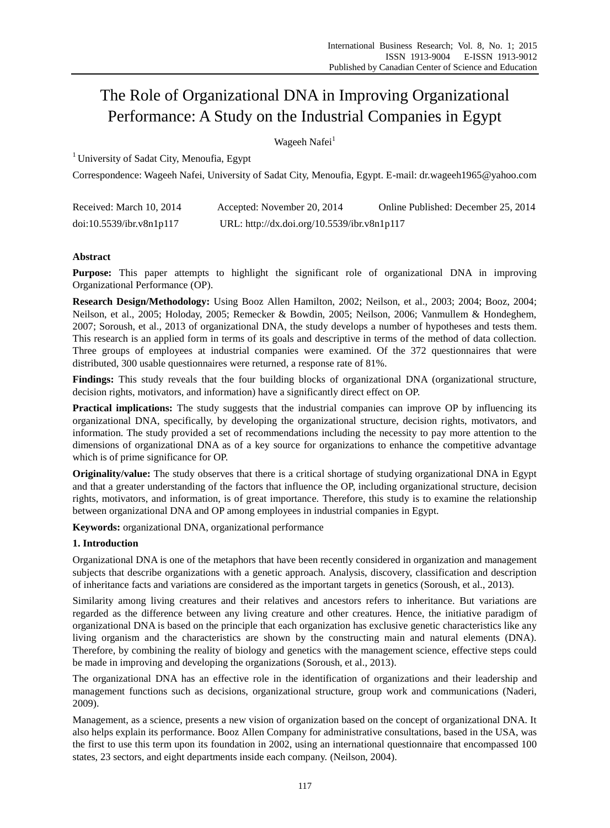# The Role of Organizational DNA in Improving Organizational Performance: A Study on the Industrial Companies in Egypt

Wageeh Nafei<sup>1</sup>

<sup>1</sup> University of Sadat City, Menoufia, Egypt

Correspondence: Wageeh Nafei, University of Sadat City, Menoufia, Egypt. E-mail: dr.wageeh1965@yahoo.com

| Received: March 10, 2014 | Accepted: November 20, 2014                 | Online Published: December 25, 2014 |
|--------------------------|---------------------------------------------|-------------------------------------|
| doi:10.5539/ibr.v8n1p117 | URL: http://dx.doi.org/10.5539/ibr.v8n1p117 |                                     |

# **Abstract**

**Purpose:** This paper attempts to highlight the significant role of organizational DNA in improving Organizational Performance (OP).

**Research Design/Methodology:** Using Booz Allen Hamilton, 2002; Neilson, et al., 2003; 2004; Booz, 2004; Neilson, et al., 2005; Holoday, 2005; Remecker & Bowdin, 2005; Neilson, 2006; Vanmullem & Hondeghem, 2007; Soroush, et al., 2013 of organizational DNA, the study develops a number of hypotheses and tests them. This research is an applied form in terms of its goals and descriptive in terms of the method of data collection. Three groups of employees at industrial companies were examined. Of the 372 questionnaires that were distributed, 300 usable questionnaires were returned, a response rate of 81%.

**Findings:** This study reveals that the four building blocks of organizational DNA (organizational structure, decision rights, motivators, and information) have a significantly direct effect on OP.

**Practical implications:** The study suggests that the industrial companies can improve OP by influencing its organizational DNA, specifically, by developing the organizational structure, decision rights, motivators, and information. The study provided a set of recommendations including the necessity to pay more attention to the dimensions of organizational DNA as of a key source for organizations to enhance the competitive advantage which is of prime significance for OP.

**Originality/value:** The study observes that there is a critical shortage of studying organizational DNA in Egypt and that a greater understanding of the factors that influence the OP, including organizational structure, decision rights, motivators, and information, is of great importance. Therefore, this study is to examine the relationship between organizational DNA and OP among employees in industrial companies in Egypt.

**Keywords:** organizational DNA, organizational performance

# **1. Introduction**

Organizational DNA is one of the metaphors that have been recently considered in organization and management subjects that describe organizations with a genetic approach. Analysis, discovery, classification and description of inheritance facts and variations are considered as the important targets in genetics (Soroush, et al., 2013).

Similarity among living creatures and their relatives and ancestors refers to inheritance. But variations are regarded as the difference between any living creature and other creatures. Hence, the initiative paradigm of organizational DNA is based on the principle that each organization has exclusive genetic characteristics like any living organism and the characteristics are shown by the constructing main and natural elements (DNA). Therefore, by combining the reality of biology and genetics with the management science, effective steps could be made in improving and developing the organizations (Soroush, et al., 2013).

The organizational DNA has an effective role in the identification of organizations and their leadership and management functions such as decisions, organizational structure, group work and communications (Naderi, 2009).

Management, as a science, presents a new vision of organization based on the concept of organizational DNA. It also helps explain its performance. Booz Allen Company for administrative consultations, based in the USA, was the first to use this term upon its foundation in 2002, using an international questionnaire that encompassed 100 states, 23 sectors, and eight departments inside each company. (Neilson, 2004).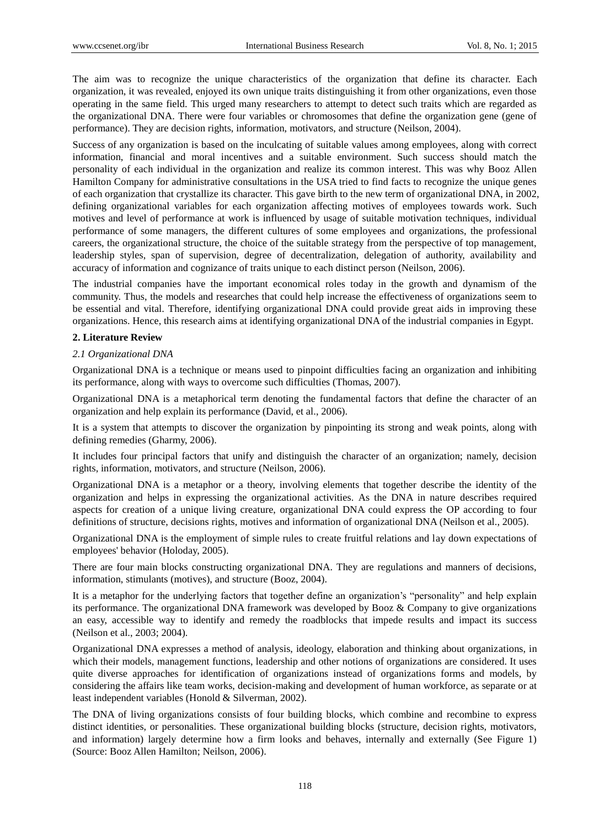The aim was to recognize the unique characteristics of the organization that define its character. Each organization, it was revealed, enjoyed its own unique traits distinguishing it from other organizations, even those operating in the same field. This urged many researchers to attempt to detect such traits which are regarded as the organizational DNA. There were four variables or chromosomes that define the organization gene (gene of performance). They are decision rights, information, motivators, and structure (Neilson, 2004).

Success of any organization is based on the inculcating of suitable values among employees, along with correct information, financial and moral incentives and a suitable environment. Such success should match the personality of each individual in the organization and realize its common interest. This was why Booz Allen Hamilton Company for administrative consultations in the USA tried to find facts to recognize the unique genes of each organization that crystallize its character. This gave birth to the new term of organizational DNA, in 2002, defining organizational variables for each organization affecting motives of employees towards work. Such motives and level of performance at work is influenced by usage of suitable motivation techniques, individual performance of some managers, the different cultures of some employees and organizations, the professional careers, the organizational structure, the choice of the suitable strategy from the perspective of top management, leadership styles, span of supervision, degree of decentralization, delegation of authority, availability and accuracy of information and cognizance of traits unique to each distinct person (Neilson, 2006).

The industrial companies have the important economical roles today in the growth and dynamism of the community. Thus, the models and researches that could help increase the effectiveness of organizations seem to be essential and vital. Therefore, identifying organizational DNA could provide great aids in improving these organizations. Hence, this research aims at identifying organizational DNA of the industrial companies in Egypt.

# **2. Literature Review**

#### *2.1 Organizational DNA*

Organizational DNA is a technique or means used to pinpoint difficulties facing an organization and inhibiting its performance, along with ways to overcome such difficulties (Thomas, 2007).

Organizational DNA is a metaphorical term denoting the fundamental factors that define the character of an organization and help explain its performance (David, et al., 2006).

It is a system that attempts to discover the organization by pinpointing its strong and weak points, along with defining remedies (Gharmy, 2006).

It includes four principal factors that unify and distinguish the character of an organization; namely, decision rights, information, motivators, and structure (Neilson, 2006).

Organizational DNA is a metaphor or a theory, involving elements that together describe the identity of the organization and helps in expressing the organizational activities. As the DNA in nature describes required aspects for creation of a unique living creature, organizational DNA could express the OP according to four definitions of structure, decisions rights, motives and information of organizational DNA (Neilson et al., 2005).

Organizational DNA is the employment of simple rules to create fruitful relations and lay down expectations of employees' behavior (Holoday, 2005).

There are four main blocks constructing organizational DNA. They are regulations and manners of decisions, information, stimulants (motives), and structure (Booz, 2004).

It is a metaphor for the underlying factors that together define an organization's "personality" and help explain its performance. The organizational DNA framework was developed by Booz & Company to give organizations an easy, accessible way to identify and remedy the roadblocks that impede results and impact its success (Neilson [et al., 2003; 2004\).](http://www.strategy-business.com/article/04210?pg=all#authors) 

Organizational DNA expresses a method of analysis, ideology, elaboration and thinking about organizations, in which their models, management functions, leadership and other notions of organizations are considered. It uses quite diverse approaches for identification of organizations instead of organizations forms and models, by considering the affairs like team works, decision-making and development of human workforce, as separate or at least independent variables (Honold & Silverman, 2002).

The DNA of living organizations consists of four building blocks, which combine and recombine to express distinct identities, or personalities. These organizational building blocks (structure, decision rights, motivators, and information) largely determine how a firm looks and behaves, internally and externally (See Figure 1) (Source: Booz Allen Hamilton; Neilson, 2006).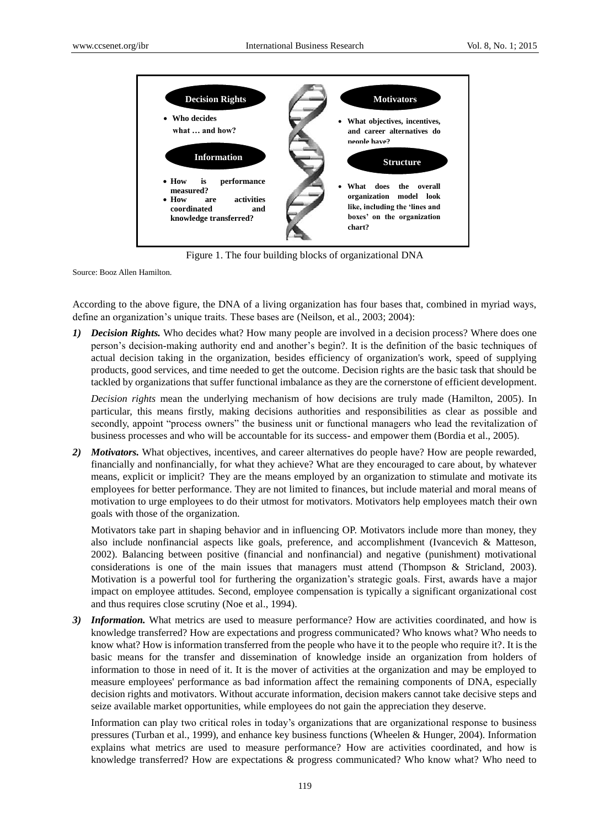

Figure 1. The four building blocks of organizational DNA

Source: Booz Allen Hamilton.

According to the above figure, the DNA of a living organization has four bases that, combined in myriad ways, define an organization's unique traits. These bases are [\(Neilson, et al., 2003; 2004\):](http://www.strategy-business.com/article/04210?pg=all#authors) 

*1) Decision Rights.* Who decides what? How many people are involved in a decision process? Where does one person's decision-making authority end and another's begin?. It is the definition of the basic techniques of actual decision taking in the organization, besides efficiency of organization's work, speed of supplying products, good services, and time needed to get the outcome. Decision rights are the basic task that should be tackled by organizations that suffer functional imbalance as they are the cornerstone of efficient development.

*Decision rights* mean the underlying mechanism of how decisions are truly made (Hamilton, 2005). In particular, this means firstly, making decisions authorities and responsibilities as clear as possible and secondly, appoint "process owners" the business unit or functional managers who lead the revitalization of business processes and who will be accountable for its success- and empower them (Bordia et al., 2005).

*2) Motivators.* What objectives, incentives, and career alternatives do people have? How are people rewarded, financially and nonfinancially, for what they achieve? What are they encouraged to care about, by whatever means, explicit or implicit? They are the means employed by an organization to stimulate and motivate its employees for better performance. They are not limited to finances, but include material and moral means of motivation to urge employees to do their utmost for motivators. Motivators help employees match their own goals with those of the organization.

Motivators take part in shaping behavior and in influencing OP. Motivators include more than money, they also include nonfinancial aspects like goals, preference, and accomplishment (Ivancevich & Matteson, 2002). Balancing between positive (financial and nonfinancial) and negative (punishment) motivational considerations is one of the main issues that managers must attend (Thompson & Stricland, 2003). Motivation is a powerful tool for furthering the organization's strategic goals. First, awards have a major impact on employee attitudes. Second, employee compensation is typically a significant organizational cost and thus requires close scrutiny (Noe et al., 1994).

*3) Information.* What metrics are used to measure performance? How are activities coordinated, and how is knowledge transferred? How are expectations and progress communicated? Who knows what? Who needs to know what? How is information transferred from the people who have it to the people who require it?. It is the basic means for the transfer and dissemination of knowledge inside an organization from holders of information to those in need of it. It is the mover of activities at the organization and may be employed to measure employees' performance as bad information affect the remaining components of DNA, especially decision rights and motivators. Without accurate information, decision makers cannot take decisive steps and seize available market opportunities, while employees do not gain the appreciation they deserve.

Information can play two critical roles in today's organizations that are organizational response to business pressures (Turban et al., 1999), and enhance key business functions (Wheelen & Hunger, 2004). Information explains what metrics are used to measure performance? How are activities coordinated, and how is knowledge transferred? How are expectations & progress communicated? Who know what? Who need to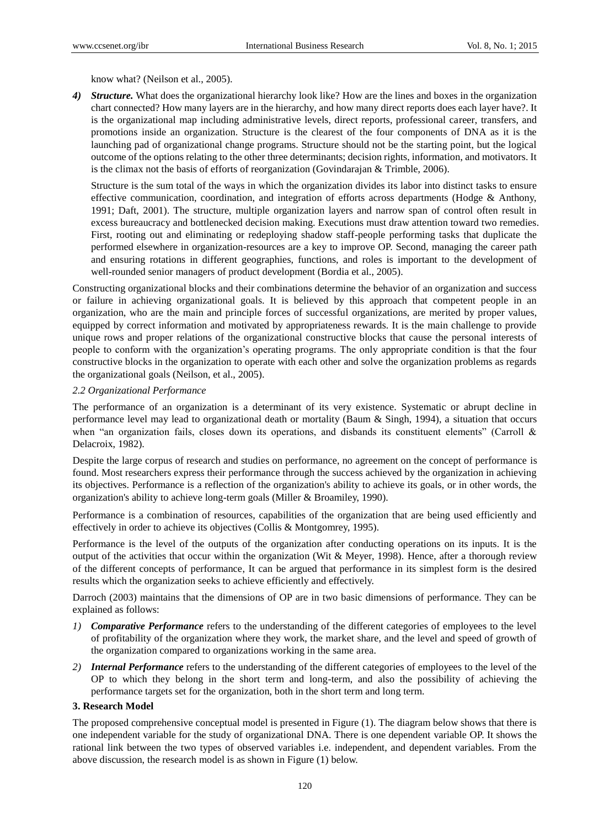know what? (Neilson et al., 2005).

*4) Structure.* What does the organizational hierarchy look like? How are the lines and boxes in the organization chart connected? How many layers are in the hierarchy, and how many direct reports does each layer have?. It is the organizational map including administrative levels, direct reports, professional career, transfers, and promotions inside an organization. Structure is the clearest of the four components of DNA as it is the launching pad of organizational change programs. Structure should not be the starting point, but the logical outcome of the options relating to the other three determinants; decision rights, information, and motivators. It is the climax not the basis of efforts of reorganization (Govindarajan  $\&$  Trimble, 2006).

Structure is the sum total of the ways in which the organization divides its labor into distinct tasks to ensure effective communication, coordination, and integration of efforts across departments (Hodge & Anthony, 1991; Daft, 2001). The structure, multiple organization layers and narrow span of control often result in excess bureaucracy and bottlenecked decision making. Executions must draw attention toward two remedies. First, rooting out and eliminating or redeploying shadow staff-people performing tasks that duplicate the performed elsewhere in organization-resources are a key to improve OP. Second, managing the career path and ensuring rotations in different geographies, functions, and roles is important to the development of well-rounded senior managers of product development (Bordia et al., 2005).

Constructing organizational blocks and their combinations determine the behavior of an organization and success or failure in achieving organizational goals. It is believed by this approach that competent people in an organization, who are the main and principle forces of successful organizations, are merited by proper values, equipped by correct information and motivated by appropriateness rewards. It is the main challenge to provide unique rows and proper relations of the organizational constructive blocks that cause the personal interests of people to conform with the organization's operating programs. The only appropriate condition is that the four constructive blocks in the organization to operate with each other and solve the organization problems as regards the organizational goals (Neilson, et al., 2005).

# *2.2 Organizational Performance*

The performance of an organization is a determinant of its very existence. Systematic or abrupt decline in performance level may lead to organizational death or mortality (Baum & Singh, 1994), a situation that occurs when "an organization fails, closes down its operations, and disbands its constituent elements" (Carroll  $\&$ Delacroix, 1982).

Despite the large corpus of research and studies on performance, no agreement on the concept of performance is found. Most researchers express their performance through the success achieved by the organization in achieving its objectives. Performance is a reflection of the organization's ability to achieve its goals, or in other words, the organization's ability to achieve long-term goals (Miller & Broamiley, 1990).

Performance is a combination of resources, capabilities of the organization that are being used efficiently and effectively in order to achieve its objectives (Collis & Montgomrey, 1995).

Performance is the level of the outputs of the organization after conducting operations on its inputs. It is the output of the activities that occur within the organization (Wit & Meyer, 1998). Hence, after a thorough review of the different concepts of performance, It can be argued that performance in its simplest form is the desired results which the organization seeks to achieve efficiently and effectively.

Darroch (2003) maintains that the dimensions of OP are in two basic dimensions of performance. They can be explained as follows:

- *1) Comparative Performance* refers to the understanding of the different categories of employees to the level of profitability of the organization where they work, the market share, and the level and speed of growth of the organization compared to organizations working in the same area.
- *2) Internal Performance* refers to the understanding of the different categories of employees to the level of the OP to which they belong in the short term and long-term, and also the possibility of achieving the performance targets set for the organization, both in the short term and long term.

# **3. Research Model**

The proposed comprehensive conceptual model is presented in Figure (1). The diagram below shows that there is one independent variable for the study of organizational DNA. There is one dependent variable OP. It shows the rational link between the two types of observed variables i.e. independent, and dependent variables. From the above discussion, the research model is as shown in Figure (1) below.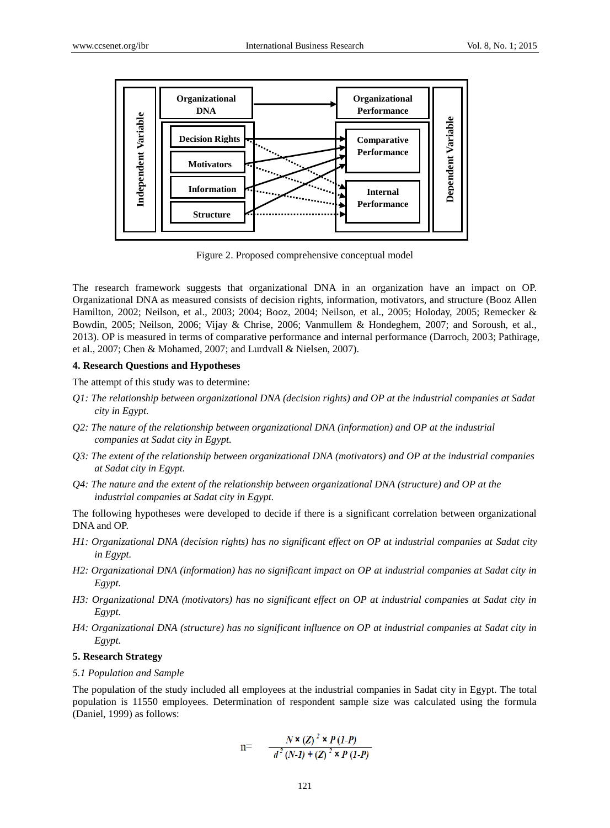

Figure 2. Proposed comprehensive conceptual model

The research framework suggests that organizational DNA in an organization have an impact on OP. Organizational DNA as measured consists of decision rights, information, motivators, and structure (Booz Allen Hamilton, 2002; Neilson, et al., 2003; 2004; Booz, 2004; Neilson, et al., 2005; Holoday, 2005; Remecker & Bowdin, 2005; Neilson, 2006; Vijay & Chrise, 2006; Vanmullem & Hondeghem, 2007; and Soroush, et al., 2013). OP is measured in terms of comparative performance and internal performance (Darroch, 2003; Pathirage, et al., 2007; Chen & Mohamed, 2007; and Lurdvall & Nielsen, 2007).

#### **4. Research Questions and Hypotheses**

The attempt of this study was to determine:

- *Q1: The relationship between organizational DNA (decision rights) and OP at the industrial companies at Sadat city in Egypt.*
- *Q2: The nature of the relationship between organizational DNA (information) and OP at the industrial companies at Sadat city in Egypt.*
- *Q3: The extent of the relationship between organizational DNA (motivators) and OP at the industrial companies at Sadat city in Egypt.*
- *Q4: The nature and the extent of the relationship between organizational DNA (structure) and OP at the industrial companies at Sadat city in Egypt.*

The following hypotheses were developed to decide if there is a significant correlation between organizational DNA and OP.

- *H1: Organizational DNA (decision rights) has no significant effect on OP at industrial companies at Sadat city in Egypt.*
- *H2: Organizational DNA (information) has no significant impact on OP at industrial companies at Sadat city in Egypt.*
- *H3: Organizational DNA (motivators) has no significant effect on OP at industrial companies at Sadat city in Egypt.*
- *H4: Organizational DNA (structure) has no significant influence on OP at industrial companies at Sadat city in Egypt.*

## **5. Research Strategy**

*5.1 Population and Sample*

The population of the study included all employees at the industrial companies in Sadat city in Egypt. The total population is 11550 employees. Determination of respondent sample size was calculated using the formula (Daniel, 1999) as follows:

$$
n = \frac{N \times (Z)^2 \times P (1-P)}{d^2 (N-I) + (Z)^2 \times P (1-P)}
$$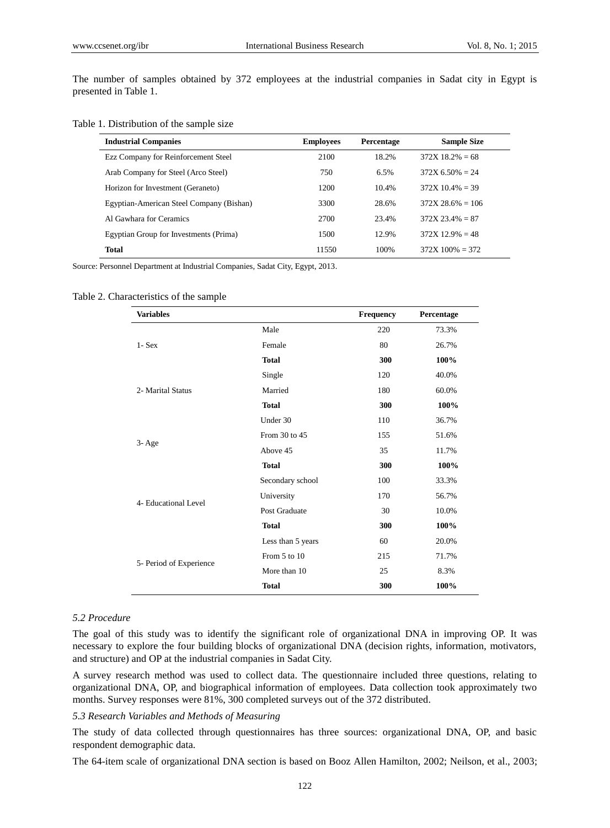The number of samples obtained by 372 employees at the industrial companies in Sadat city in Egypt is presented in Table 1.

#### Table 1. Distribution of the sample size

| <b>Industrial Companies</b>              | <b>Employees</b> | <b>Percentage</b> | <b>Sample Size</b> |
|------------------------------------------|------------------|-------------------|--------------------|
| Ezz Company for Reinforcement Steel      | 2100             | 18.2%             | $372X$ 18.2% = 68  |
| Arab Company for Steel (Arco Steel)      | 750              | 6.5%              | $372X$ 6.50% = 24  |
| Horizon for Investment (Geraneto)        | 1200             | 10.4%             | $372X$ 10.4% = 39  |
| Egyptian-American Steel Company (Bishan) | 3300             | 28.6%             | $372X$ 28.6% = 106 |
| Al Gawhara for Ceramics                  | 2700             | 23.4%             | $372X$ 23.4% = 87  |
| Egyptian Group for Investments (Prima)   | 1500             | 12.9%             | $372X$ 12.9% = 48  |
| <b>Total</b>                             | 11550            | 100%              | $372X$ 100% = 372  |

Source: Personnel Department at Industrial Companies, Sadat City, Egypt, 2013.

#### Table 2. Characteristics of the sample

| <b>Variables</b>        |                   | Frequency | Percentage |
|-------------------------|-------------------|-----------|------------|
|                         | Male              | 220       | 73.3%      |
| $1 - Sex$               | Female            | 80        | 26.7%      |
|                         | <b>Total</b>      | 300       | 100%       |
|                         | Single            | 120       | 40.0%      |
| 2- Marital Status       | Married           | 180       | 60.0%      |
|                         | <b>Total</b>      | 300       | 100%       |
|                         | Under 30          | 110       | 36.7%      |
|                         | From 30 to 45     | 155       | 51.6%      |
| $3 - Age$               | Above 45          | 35        | 11.7%      |
|                         | <b>Total</b>      | 300       | 100%       |
|                         | Secondary school  | 100       | 33.3%      |
|                         | University        | 170       | 56.7%      |
| 4- Educational Level    | Post Graduate     | 30        | 10.0%      |
|                         | <b>Total</b>      | 300       | 100%       |
|                         | Less than 5 years | 60        | 20.0%      |
|                         | From 5 to 10      | 215       | 71.7%      |
| 5- Period of Experience | More than 10      | 25        | 8.3%       |
|                         | <b>Total</b>      | 300       | 100%       |

#### *5.2 Procedure*

The goal of this study was to identify the significant role of organizational DNA in improving OP. It was necessary to explore the four building blocks of organizational DNA (decision rights, information, motivators, and structure) and OP at the industrial companies in Sadat City.

A survey research method was used to collect data. The questionnaire included three questions, relating to organizational DNA, OP, and biographical information of employees. Data collection took approximately two months. Survey responses were 81%, 300 completed surveys out of the 372 distributed.

# *5.3 Research Variables and Methods of Measuring*

The study of data collected through questionnaires has three sources: organizational DNA, OP, and basic respondent demographic data.

The 64-item scale of organizational DNA section is based on Booz Allen Hamilton, 2002; Neilson, et al., 2003;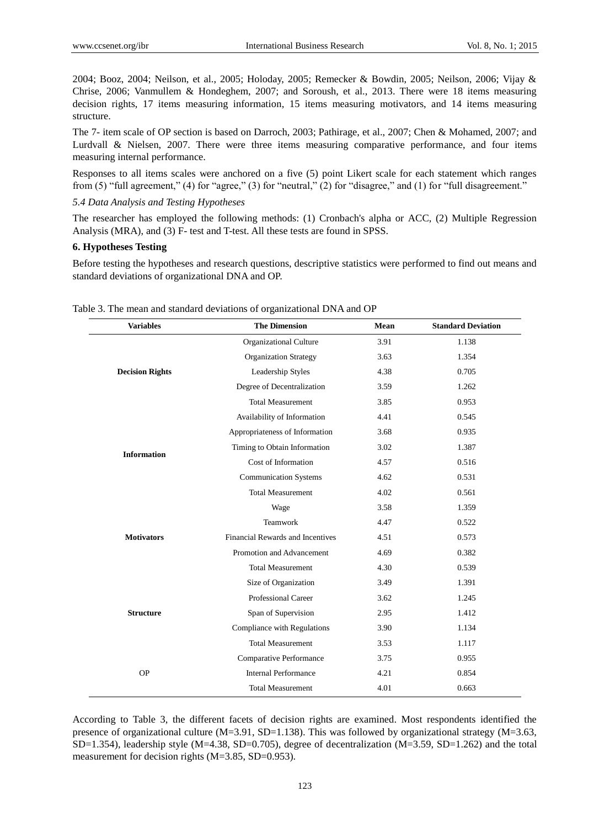2004; Booz, 2004; Neilson, et al., 2005; Holoday, 2005; Remecker & Bowdin, 2005; Neilson, 2006; Vijay & Chrise, 2006; Vanmullem & Hondeghem, 2007; and Soroush, et al., 2013. There were 18 items measuring decision rights, 17 items measuring information, 15 items measuring motivators, and 14 items measuring structure.

The 7- item scale of OP section is based on Darroch, 2003; Pathirage, et al., 2007; Chen & Mohamed, 2007; and Lurdvall & Nielsen, 2007. There were three items measuring comparative performance, and four items measuring internal performance.

Responses to all items scales were anchored on a five (5) point Likert scale for each statement which ranges from (5) "full agreement," (4) for "agree," (3) for "neutral," (2) for "disagree," and (1) for "full disagreement."

#### *5.4 Data Analysis and Testing Hypotheses*

The researcher has employed the following methods: (1) Cronbach's alpha or ACC, (2) Multiple Regression Analysis (MRA), and (3) F- test and T-test. All these tests are found in SPSS.

## **6. Hypotheses Testing**

Before testing the hypotheses and research questions, descriptive statistics were performed to find out means and standard deviations of organizational DNA and OP.

| <b>Variables</b>       | <b>The Dimension</b>             | Mean | <b>Standard Deviation</b> |
|------------------------|----------------------------------|------|---------------------------|
|                        | Organizational Culture           | 3.91 | 1.138                     |
|                        | <b>Organization Strategy</b>     | 3.63 | 1.354                     |
| <b>Decision Rights</b> | Leadership Styles                | 4.38 | 0.705                     |
|                        | Degree of Decentralization       | 3.59 | 1.262                     |
|                        | <b>Total Measurement</b>         | 3.85 | 0.953                     |
|                        | Availability of Information      | 4.41 | 0.545                     |
|                        | Appropriateness of Information   | 3.68 | 0.935                     |
| <b>Information</b>     | Timing to Obtain Information     | 3.02 | 1.387                     |
|                        | Cost of Information              | 4.57 | 0.516                     |
|                        | <b>Communication Systems</b>     | 4.62 | 0.531                     |
|                        | <b>Total Measurement</b>         | 4.02 | 0.561                     |
|                        | Wage                             | 3.58 | 1.359                     |
|                        | Teamwork                         | 4.47 | 0.522                     |
| <b>Motivators</b>      | Financial Rewards and Incentives | 4.51 | 0.573                     |
|                        | Promotion and Advancement        | 4.69 | 0.382                     |
|                        | <b>Total Measurement</b>         | 4.30 | 0.539                     |
|                        | Size of Organization             | 3.49 | 1.391                     |
|                        | <b>Professional Career</b>       | 3.62 | 1.245                     |
| <b>Structure</b>       | Span of Supervision              | 2.95 | 1.412                     |
|                        | Compliance with Regulations      | 3.90 | 1.134                     |
|                        | <b>Total Measurement</b>         | 3.53 | 1.117                     |
|                        | Comparative Performance          | 3.75 | 0.955                     |
| <b>OP</b>              | <b>Internal Performance</b>      | 4.21 | 0.854                     |
|                        | <b>Total Measurement</b>         | 4.01 | 0.663                     |

Table 3. The mean and standard deviations of organizational DNA and OP

According to Table 3, the different facets of decision rights are examined. Most respondents identified the presence of organizational culture ( $M=3.91$ ,  $SD=1.138$ ). This was followed by organizational strategy ( $M=3.63$ , SD=1.354), leadership style (M=4.38, SD=0.705), degree of decentralization (M=3.59, SD=1.262) and the total measurement for decision rights (M=3.85, SD=0.953).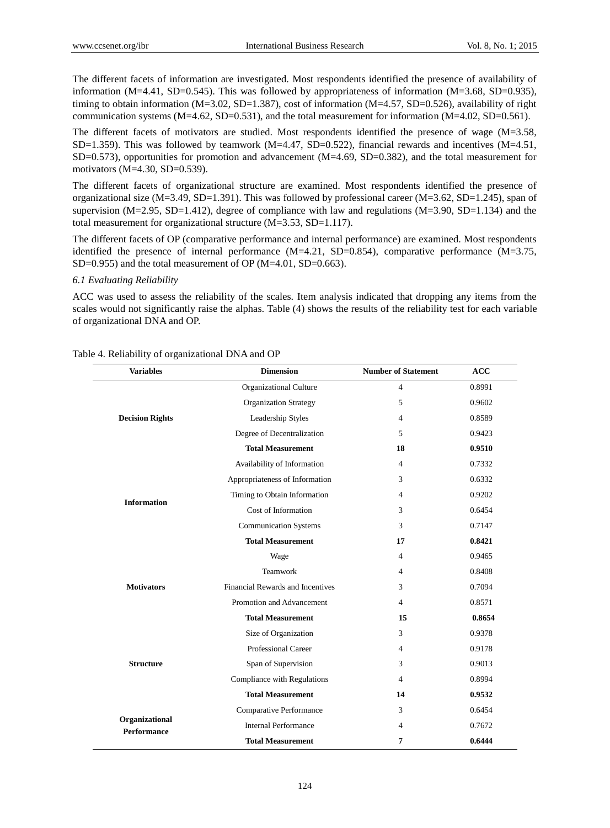The different facets of information are investigated. Most respondents identified the presence of availability of information (M=4.41, SD=0.545). This was followed by appropriateness of information (M=3.68, SD=0.935). timing to obtain information (M=3.02, SD=1.387), cost of information (M=4.57, SD=0.526), availability of right communication systems  $(M=4.62, SD=0.531)$ , and the total measurement for information  $(M=4.02, SD=0.561)$ .

The different facets of motivators are studied. Most respondents identified the presence of wage (M=3.58, SD=1.359). This was followed by teamwork  $(M=4.47, SD=0.522)$ , financial rewards and incentives  $(M=4.51,$ SD=0.573), opportunities for promotion and advancement (M=4.69, SD=0.382), and the total measurement for motivators (M=4.30, SD=0.539).

The different facets of organizational structure are examined. Most respondents identified the presence of organizational size (M=3.49, SD=1.391). This was followed by professional career (M=3.62, SD=1.245), span of supervision (M=2.95, SD=1.412), degree of compliance with law and regulations (M=3.90, SD=1.134) and the total measurement for organizational structure (M=3.53, SD=1.117).

The different facets of OP (comparative performance and internal performance) are examined. Most respondents identified the presence of internal performance  $(M=4.21, SD=0.854)$ , comparative performance  $(M=3.75,$ SD=0.955) and the total measurement of OP (M=4.01, SD=0.663).

#### *6.1 Evaluating Reliability*

ACC was used to assess the reliability of the scales. Item analysis indicated that dropping any items from the scales would not significantly raise the alphas. Table (4) shows the results of the reliability test for each variable of organizational DNA and OP.

| Table 4. Reliability of organizational DNA and OP |  |  |
|---------------------------------------------------|--|--|
|---------------------------------------------------|--|--|

| <b>Variables</b>                     | <b>Dimension</b>                 | <b>Number of Statement</b>                                                                                                                                                                | <b>ACC</b> |
|--------------------------------------|----------------------------------|-------------------------------------------------------------------------------------------------------------------------------------------------------------------------------------------|------------|
|                                      | Organizational Culture           | $\overline{4}$                                                                                                                                                                            | 0.8991     |
|                                      | <b>Organization Strategy</b>     | 5                                                                                                                                                                                         | 0.9602     |
| <b>Decision Rights</b>               | Leadership Styles                | $\overline{4}$                                                                                                                                                                            | 0.8589     |
|                                      | Degree of Decentralization       | 5                                                                                                                                                                                         | 0.9423     |
|                                      | <b>Total Measurement</b>         | 18                                                                                                                                                                                        | 0.9510     |
|                                      | Availability of Information      | $\overline{4}$                                                                                                                                                                            | 0.7332     |
|                                      | Appropriateness of Information   | 3                                                                                                                                                                                         | 0.6332     |
| <b>Information</b>                   | Timing to Obtain Information     | $\overline{4}$                                                                                                                                                                            | 0.9202     |
|                                      | Cost of Information              | 3                                                                                                                                                                                         | 0.6454     |
|                                      | <b>Communication Systems</b>     | 3                                                                                                                                                                                         | 0.7147     |
|                                      | <b>Total Measurement</b>         | 17<br>$\overline{4}$<br>$\overline{4}$                                                                                                                                                    | 0.8421     |
|                                      | Wage                             |                                                                                                                                                                                           | 0.9465     |
|                                      | Teamwork                         |                                                                                                                                                                                           | 0.8408     |
| <b>Motivators</b>                    | Financial Rewards and Incentives | 3                                                                                                                                                                                         | 0.7094     |
|                                      | Promotion and Advancement        | $\overline{4}$<br><b>Total Measurement</b><br>15<br>Size of Organization<br>3<br>Professional Career<br>$\overline{4}$<br>Span of Supervision<br>3<br>4<br><b>Total Measurement</b><br>14 | 0.8571     |
|                                      |                                  |                                                                                                                                                                                           | 0.8654     |
|                                      |                                  |                                                                                                                                                                                           | 0.9378     |
|                                      |                                  |                                                                                                                                                                                           | 0.9178     |
| <b>Structure</b>                     |                                  |                                                                                                                                                                                           | 0.9013     |
|                                      | Compliance with Regulations      |                                                                                                                                                                                           | 0.8994     |
|                                      |                                  |                                                                                                                                                                                           | 0.9532     |
|                                      | Comparative Performance          | 3                                                                                                                                                                                         | 0.6454     |
| Organizational<br><b>Performance</b> | <b>Internal Performance</b>      | $\overline{4}$                                                                                                                                                                            | 0.7672     |
|                                      | <b>Total Measurement</b>         | 7                                                                                                                                                                                         | 0.6444     |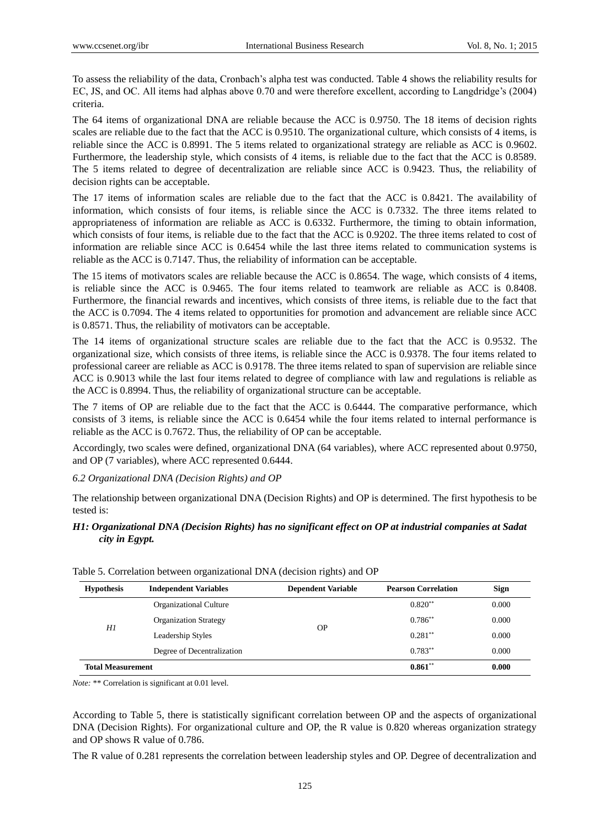To assess the reliability of the data, Cronbach's alpha test was conducted. Table 4 shows the reliability results for EC, JS, and OC. All items had alphas above 0.70 and were therefore excellent, according to Langdridge's (2004) criteria.

The 64 items of organizational DNA are reliable because the ACC is 0.9750. The 18 items of decision rights scales are reliable due to the fact that the ACC is 0.9510. The organizational culture, which consists of 4 items, is reliable since the ACC is 0.8991. The 5 items related to organizational strategy are reliable as ACC is 0.9602. Furthermore, the leadership style, which consists of 4 items, is reliable due to the fact that the ACC is 0.8589. The 5 items related to degree of decentralization are reliable since ACC is 0.9423. Thus, the reliability of decision rights can be acceptable.

The 17 items of information scales are reliable due to the fact that the ACC is 0.8421. The availability of information, which consists of four items, is reliable since the ACC is 0.7332. The three items related to appropriateness of information are reliable as ACC is 0.6332. Furthermore, the timing to obtain information, which consists of four items, is reliable due to the fact that the ACC is 0.9202. The three items related to cost of information are reliable since ACC is 0.6454 while the last three items related to communication systems is reliable as the ACC is 0.7147. Thus, the reliability of information can be acceptable.

The 15 items of motivators scales are reliable because the ACC is 0.8654. The wage, which consists of 4 items, is reliable since the ACC is 0.9465. The four items related to teamwork are reliable as ACC is 0.8408. Furthermore, the financial rewards and incentives, which consists of three items, is reliable due to the fact that the ACC is 0.7094. The 4 items related to opportunities for promotion and advancement are reliable since ACC is 0.8571. Thus, the reliability of motivators can be acceptable.

The 14 items of organizational structure scales are reliable due to the fact that the ACC is 0.9532. The organizational size, which consists of three items, is reliable since the ACC is 0.9378. The four items related to professional career are reliable as ACC is 0.9178. The three items related to span of supervision are reliable since ACC is 0.9013 while the last four items related to degree of compliance with law and regulations is reliable as the ACC is 0.8994. Thus, the reliability of organizational structure can be acceptable.

The 7 items of OP are reliable due to the fact that the ACC is 0.6444. The comparative performance, which consists of 3 items, is reliable since the ACC is 0.6454 while the four items related to internal performance is reliable as the ACC is 0.7672. Thus, the reliability of OP can be acceptable.

Accordingly, two scales were defined, organizational DNA (64 variables), where ACC represented about 0.9750, and OP (7 variables), where ACC represented 0.6444.

*6.2 Organizational DNA (Decision Rights) and OP*

The relationship between organizational DNA (Decision Rights) and OP is determined. The first hypothesis to be tested is:

# *H1: Organizational DNA (Decision Rights) has no significant effect on OP at industrial companies at Sadat city in Egypt.*

| <b>Hypothesis</b>          | <b>Independent Variables</b> | <b>Dependent Variable</b> | <b>Pearson Correlation</b> | <b>Sign</b> |
|----------------------------|------------------------------|---------------------------|----------------------------|-------------|
|                            | Organizational Culture       |                           | $0.820**$                  | 0.000       |
|                            | <b>Organization Strategy</b> |                           | $0.786^{**}$               | 0.000       |
| H1                         | Leadership Styles            | <b>OP</b>                 | $0.281$ **                 | 0.000       |
| Degree of Decentralization |                              | $0.783***$                | 0.000                      |             |
| <b>Total Measurement</b>   |                              |                           | $0.861**$                  | 0.000       |

|  | Table 5. Correlation between organizational DNA (decision rights) and OP |  |  |  |
|--|--------------------------------------------------------------------------|--|--|--|
|--|--------------------------------------------------------------------------|--|--|--|

*Note:* \*\* Correlation is significant at 0.01 level.

According to Table 5, there is statistically significant correlation between OP and the aspects of organizational DNA (Decision Rights). For organizational culture and OP, the R value is 0.820 whereas organization strategy and OP shows R value of 0.786.

The R value of 0.281 represents the correlation between leadership styles and OP. Degree of decentralization and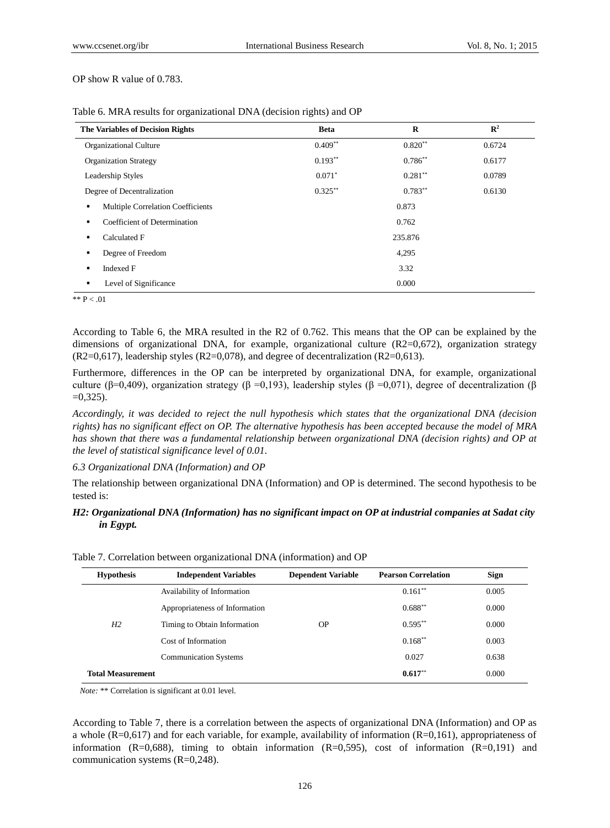OP show R value of 0.783.

| <b>The Variables of Decision Rights</b>       | <b>Beta</b> | $\bf{R}$  | $\mathbb{R}^2$ |
|-----------------------------------------------|-------------|-----------|----------------|
| Organizational Culture                        | $0.409**$   | $0.820**$ | 0.6724         |
| <b>Organization Strategy</b>                  | $0.193**$   | $0.786**$ | 0.6177         |
| Leadership Styles                             | $0.071*$    | $0.281**$ | 0.0789         |
| Degree of Decentralization                    | $0.325***$  | $0.783**$ | 0.6130         |
| <b>Multiple Correlation Coefficients</b><br>٠ | 0.873       |           |                |
| Coefficient of Determination<br>٠             | 0.762       |           |                |
| Calculated F<br>٠                             | 235.876     |           |                |
| Degree of Freedom<br>٠                        | 4,295       |           |                |
| Indexed F<br>٠                                | 3.32        |           |                |
| Level of Significance<br>٠                    |             | 0.000     |                |

Table 6. MRA results for organizational DNA (decision rights) and OP

 $*$   $*$  P  $< 01$ 

According to Table 6, the MRA resulted in the R2 of 0.762. This means that the OP can be explained by the dimensions of organizational DNA, for example, organizational culture (R2=0,672), organization strategy  $(R2=0.617)$ , leadership styles  $(R2=0.078)$ , and degree of decentralization  $(R2=0.613)$ .

Furthermore, differences in the OP can be interpreted by organizational DNA, for example, organizational culture (β=0,409), organization strategy (β =0,193), leadership styles (β =0,071), degree of decentralization (β  $=0.325$ ).

*Accordingly, it was decided to reject the null hypothesis which states that the organizational DNA (decision rights) has no significant effect on OP. The alternative hypothesis has been accepted because the model of MRA has shown that there was a fundamental relationship between organizational DNA (decision rights) and OP at the level of statistical significance level of 0.01.*

## *6.3 Organizational DNA (Information) and OP*

The relationship between organizational DNA (Information) and OP is determined. The second hypothesis to be tested is:

# *H2: Organizational DNA (Information) has no significant impact on OP at industrial companies at Sadat city in Egypt.*

| <b>Hypothesis</b>        | <b>Independent Variables</b>   | <b>Dependent Variable</b> | <b>Pearson Correlation</b> | <b>Sign</b> |  |
|--------------------------|--------------------------------|---------------------------|----------------------------|-------------|--|
|                          | Availability of Information    |                           | $0.161**$                  | 0.005       |  |
|                          | Appropriateness of Information |                           | $0.688**$                  | 0.000       |  |
| H2                       | Timing to Obtain Information   | <b>OP</b>                 | $0.595***$                 | 0.000       |  |
|                          | Cost of Information            |                           | $0.168**$                  | 0.003       |  |
|                          | <b>Communication Systems</b>   |                           | 0.027                      | 0.638       |  |
| <b>Total Measurement</b> |                                |                           | 0.617                      | 0.000       |  |
|                          |                                |                           |                            |             |  |

Table 7. Correlation between organizational DNA (information) and OP

*Note:* \*\* Correlation is significant at 0.01 level.

According to Table 7, there is a correlation between the aspects of organizational DNA (Information) and OP as a whole (R=0,617) and for each variable, for example, availability of information (R=0,161), appropriateness of information  $(R=0.688)$ , timing to obtain information  $(R=0.595)$ , cost of information  $(R=0.191)$  and communication systems (R=0,248).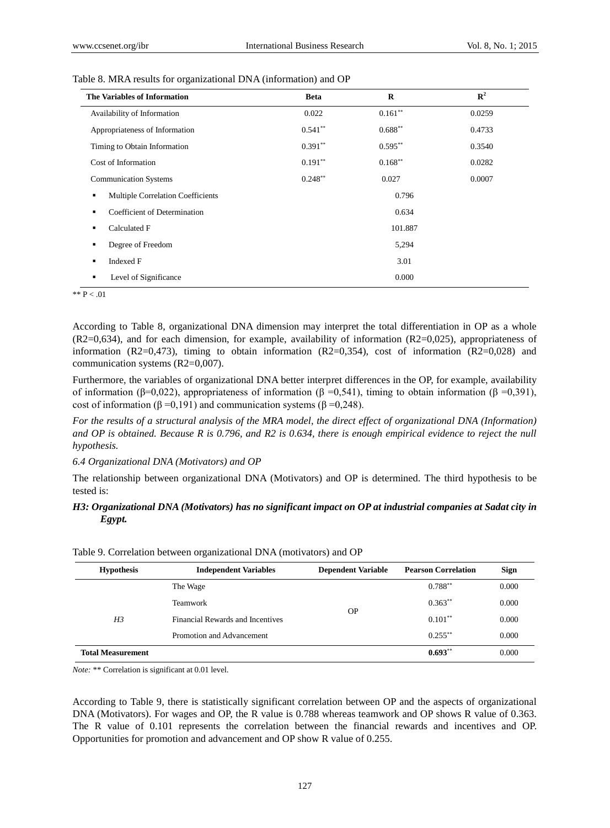| The Variables of Information           | <b>Beta</b> | R          | $\mathbf{R}^2$ |
|----------------------------------------|-------------|------------|----------------|
| Availability of Information            | 0.022       | $0.161**$  | 0.0259         |
| Appropriateness of Information         | $0.541**$   | $0.688**$  | 0.4733         |
| Timing to Obtain Information           | $0.391**$   | $0.595***$ | 0.3540         |
| Cost of Information                    | $0.191**$   | $0.168***$ | 0.0282         |
| <b>Communication Systems</b>           | $0.248**$   | 0.027      | 0.0007         |
| Multiple Correlation Coefficients<br>٠ |             | 0.796      |                |
| Coefficient of Determination<br>٠      |             | 0.634      |                |
| Calculated F                           |             | 101.887    |                |
| Degree of Freedom<br>٠                 |             | 5,294      |                |
| <b>Indexed F</b><br>٠                  |             | 3.01       |                |
| Level of Significance<br>٠             |             | 0.000      |                |

\*\*  $P < .01$ 

According to Table 8, organizational DNA dimension may interpret the total differentiation in OP as a whole (R2=0,634), and for each dimension, for example, availability of information (R2=0,025), appropriateness of information (R2=0,473), timing to obtain information (R2=0,354), cost of information (R2=0,028) and communication systems (R2=0,007).

Furthermore, the variables of organizational DNA better interpret differences in the OP, for example, availability of information (β=0,022), appropriateness of information (β =0,541), timing to obtain information (β =0,391), cost of information ( $\beta$  =0,191) and communication systems ( $\beta$  =0,248).

*For the results of a structural analysis of the MRA model, the direct effect of organizational DNA (Information) and OP is obtained. Because R is 0.796, and R2 is 0.634, there is enough empirical evidence to reject the null hypothesis.* 

#### *6.4 Organizational DNA (Motivators) and OP*

The relationship between organizational DNA (Motivators) and OP is determined. The third hypothesis to be tested is:

# *H3: Organizational DNA (Motivators) has no significant impact on OP at industrial companies at Sadat city in Egypt.*

| <b>Hypothesis</b>        | <b>Independent Variables</b><br><b>Dependent Variable</b> |           | <b>Pearson Correlation</b> | <b>Sign</b> |
|--------------------------|-----------------------------------------------------------|-----------|----------------------------|-------------|
|                          | The Wage                                                  |           | $0.788**$                  | 0.000       |
| H <sub>3</sub>           | <b>Teamwork</b>                                           | <b>OP</b> | $0.363**$                  | 0.000       |
|                          | <b>Financial Rewards and Incentives</b>                   |           | $0.101**$                  | 0.000       |
|                          | Promotion and Advancement                                 |           | $0.255***$                 | 0.000       |
| <b>Total Measurement</b> |                                                           |           | $0.693**$                  | 0.000       |

Table 9. Correlation between organizational DNA (motivators) and OP

*Note:* \*\* Correlation is significant at 0.01 level.

According to Table 9, there is statistically significant correlation between OP and the aspects of organizational DNA (Motivators). For wages and OP, the R value is 0.788 whereas teamwork and OP shows R value of 0.363. The R value of 0.101 represents the correlation between the financial rewards and incentives and OP. Opportunities for promotion and advancement and OP show R value of 0.255.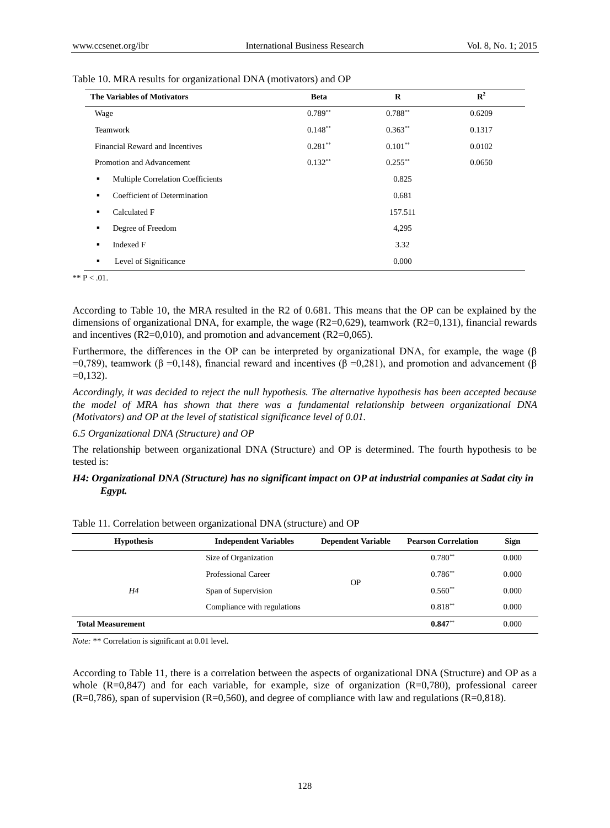| <b>The Variables of Motivators</b>             | <b>Beta</b> | $\bf{R}$   | ${\bf R}^2$ |
|------------------------------------------------|-------------|------------|-------------|
| Wage                                           | $0.789**$   | $0.788**$  | 0.6209      |
| Teamwork                                       | $0.148**$   | $0.363**$  | 0.1317      |
| Financial Reward and Incentives                | $0.281**$   | $0.101**$  | 0.0102      |
| Promotion and Advancement                      | $0.132**$   | $0.255***$ | 0.0650      |
| Multiple Correlation Coefficients<br>٠         |             | 0.825      |             |
| Coefficient of Determination<br>$\blacksquare$ |             | 0.681      |             |
| Calculated F<br>٠                              |             | 157.511    |             |
| Degree of Freedom<br>٠                         |             | 4,295      |             |
| Indexed F<br>٠                                 |             | 3.32       |             |
| Level of Significance<br>٠                     |             | 0.000      |             |

| Table 10. MRA results for organizational DNA (motivators) and OP |  |  |  |  |  |  |  |  |  |
|------------------------------------------------------------------|--|--|--|--|--|--|--|--|--|
|------------------------------------------------------------------|--|--|--|--|--|--|--|--|--|

\*\*  $P < .01$ .

According to Table 10, the MRA resulted in the R2 of 0.681. This means that the OP can be explained by the dimensions of organizational DNA, for example, the wage  $(R2=0.629)$ , teamwork  $(R2=0.131)$ , financial rewards and incentives  $(R2=0.010)$ , and promotion and advancement  $(R2=0.065)$ .

Furthermore, the differences in the OP can be interpreted by organizational DNA, for example, the wage (β  $=0.789$ ), teamwork (β =0,148), financial reward and incentives (β =0,281), and promotion and advancement (β  $=0,132$ ).

*Accordingly, it was decided to reject the null hypothesis. The alternative hypothesis has been accepted because the model of MRA has shown that there was a fundamental relationship between organizational DNA (Motivators) and OP at the level of statistical significance level of 0.01.*

*6.5 Organizational DNA (Structure) and OP*

The relationship between organizational DNA (Structure) and OP is determined. The fourth hypothesis to be tested is:

# *H4: Organizational DNA (Structure) has no significant impact on OP at industrial companies at Sadat city in Egypt.*

| <b>Hypothesis</b>        | <b>Independent Variables</b> | <b>Dependent Variable</b> | <b>Pearson Correlation</b> | Sign  |
|--------------------------|------------------------------|---------------------------|----------------------------|-------|
|                          | Size of Organization         |                           | $0.780**$                  | 0.000 |
| Η4                       | Professional Career          | <b>OP</b>                 | $0.786**$                  | 0.000 |
|                          | Span of Supervision          |                           | $0.560**$                  | 0.000 |
|                          | Compliance with regulations  |                           | $0.818**$                  | 0.000 |
| <b>Total Measurement</b> |                              |                           | $0.847**$                  | 0.000 |

Table 11. Correlation between organizational DNA (structure) and OP

*Note:* \*\* Correlation is significant at 0.01 level.

According to Table 11, there is a correlation between the aspects of organizational DNA (Structure) and OP as a whole  $(R=0.847)$  and for each variable, for example, size of organization  $(R=0.780)$ , professional career (R=0,786), span of supervision (R=0,560), and degree of compliance with law and regulations (R=0,818).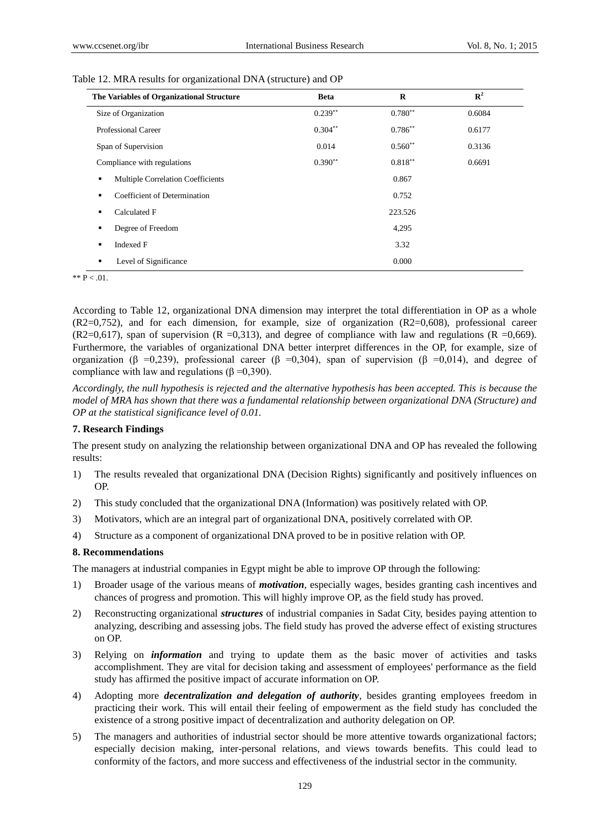| The Variables of Organizational Structure | <b>Beta</b> | $\bf{R}$   | ${\bf R}^2$ |
|-------------------------------------------|-------------|------------|-------------|
| Size of Organization                      | $0.239**$   | $0.780**$  | 0.6084      |
| Professional Career                       | $0.304**$   | $0.786**$  | 0.6177      |
| Span of Supervision                       | 0.014       | $0.560**$  | 0.3136      |
| Compliance with regulations               | $0.390**$   | $0.818***$ | 0.6691      |
| Multiple Correlation Coefficients<br>٠    |             | 0.867      |             |
| Coefficient of Determination<br>٠         |             | 0.752      |             |
| Calculated F<br>٠                         |             | 223.526    |             |
| Degree of Freedom<br>٠                    |             | 4,295      |             |
| <b>Indexed F</b><br>٠                     |             | 3.32       |             |
| Level of Significance<br>٠                |             | 0.000      |             |

|  | Table 12. MRA results for organizational DNA (structure) and OP |  |  |
|--|-----------------------------------------------------------------|--|--|
|  |                                                                 |  |  |

\*\*  $\overline{P}$  < .01.

According to Table 12, organizational DNA dimension may interpret the total differentiation in OP as a whole (R2=0,752), and for each dimension, for example, size of organization (R2=0,608), professional career  $(R2=0.617)$ , span of supervision  $(R = 0.313)$ , and degree of compliance with law and regulations  $(R = 0.669)$ . Furthermore, the variables of organizational DNA better interpret differences in the OP, for example, size of organization ( $\beta = 0,239$ ), professional career ( $\beta = 0,304$ ), span of supervision ( $\beta = 0,014$ ), and degree of compliance with law and regulations ( $\beta = 0,390$ ).

*Accordingly, the null hypothesis is rejected and the alternative hypothesis has been accepted. This is because the model of MRA has shown that there was a fundamental relationship between organizational DNA (Structure) and OP at the statistical significance level of 0.01.*

### **7. Research Findings**

The present study on analyzing the relationship between organizational DNA and OP has revealed the following results:

- 1) The results revealed that organizational DNA (Decision Rights) significantly and positively influences on OP.
- 2) This study concluded that the organizational DNA (Information) was positively related with OP.
- 3) Motivators, which are an integral part of organizational DNA, positively correlated with OP.
- 4) Structure as a component of organizational DNA proved to be in positive relation with OP.

### **8. Recommendations**

The managers at industrial companies in Egypt might be able to improve OP through the following:

- 1) Broader usage of the various means of *motivation*, especially wages, besides granting cash incentives and chances of progress and promotion. This will highly improve OP, as the field study has proved.
- 2) Reconstructing organizational *structures* of industrial companies in Sadat City, besides paying attention to analyzing, describing and assessing jobs. The field study has proved the adverse effect of existing structures on OP.
- 3) Relying on *information* and trying to update them as the basic mover of activities and tasks accomplishment. They are vital for decision taking and assessment of employees' performance as the field study has affirmed the positive impact of accurate information on OP.
- 4) Adopting more *decentralization and delegation of authority*, besides granting employees freedom in practicing their work. This will entail their feeling of empowerment as the field study has concluded the existence of a strong positive impact of decentralization and authority delegation on OP.
- 5) The managers and authorities of industrial sector should be more attentive towards organizational factors; especially decision making, inter-personal relations, and views towards benefits. This could lead to conformity of the factors, and more success and effectiveness of the industrial sector in the community.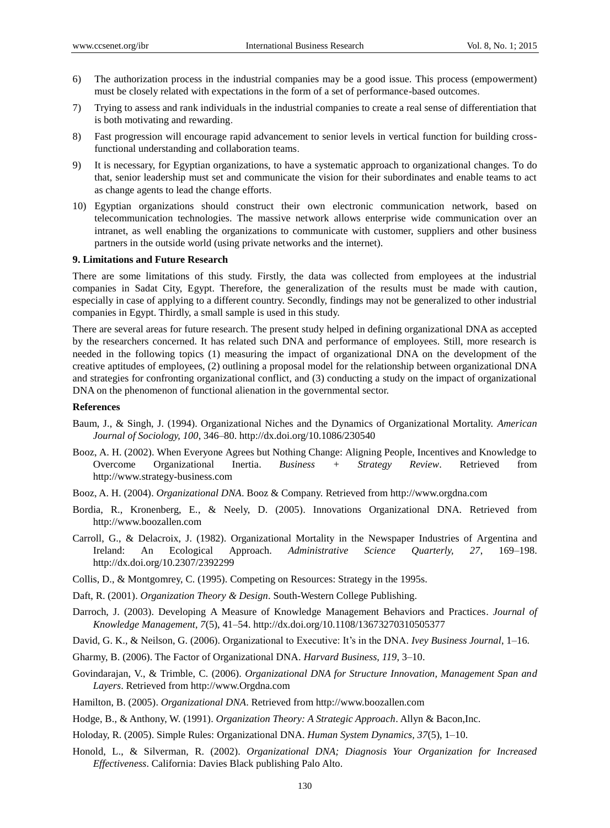- 6) The authorization process in the industrial companies may be a good issue. This process (empowerment) must be closely related with expectations in the form of a set of performance-based outcomes.
- 7) Trying to assess and rank individuals in the industrial companies to create a real sense of differentiation that is both motivating and rewarding.
- 8) Fast progression will encourage rapid advancement to senior levels in vertical function for building crossfunctional understanding and collaboration teams.
- 9) It is necessary, for Egyptian organizations, to have a systematic approach to organizational changes. To do that, senior leadership must set and communicate the vision for their subordinates and enable teams to act as change agents to lead the change efforts.
- 10) Egyptian organizations should construct their own electronic communication network, based on telecommunication technologies. The massive network allows enterprise wide communication over an intranet, as well enabling the organizations to communicate with customer, suppliers and other business partners in the outside world (using private networks and the internet).

## **9. Limitations and Future Research**

There are some limitations of this study. Firstly, the data was collected from employees at the industrial companies in Sadat City, Egypt. Therefore, the generalization of the results must be made with caution, especially in case of applying to a different country. Secondly, findings may not be generalized to other industrial companies in Egypt. Thirdly, a small sample is used in this study.

There are several areas for future research. The present study helped in defining organizational DNA as accepted by the researchers concerned. It has related such DNA and performance of employees. Still, more research is needed in the following topics (1) measuring the impact of organizational DNA on the development of the creative aptitudes of employees, (2) outlining a proposal model for the relationship between organizational DNA and strategies for confronting organizational conflict, and (3) conducting a study on the impact of organizational DNA on the phenomenon of functional alienation in the governmental sector.

## **References**

- Baum, J., & Singh, J. (1994). Organizational Niches and the Dynamics of Organizational Mortality. *American Journal of Sociology, 100*, 346–80. http://dx.doi.org/10.1086/230540
- Booz, A. H. (2002). When Everyone Agrees but Nothing Change: Aligning People, Incentives and Knowledge to Overcome Organizational Inertia. *Business + Strategy Review*. Retrieved from http://www.strategy-business.com
- Booz, A. H. (2004). *Organizational DNA*. Booz & Company. Retrieved from http://www.orgdna.com
- Bordia, R., Kronenberg, E., & Neely, D. (2005). Innovations Organizational DNA. Retrieved from http://www.boozallen.com
- Carroll, G., & Delacroix, J. (1982). Organizational Mortality in the Newspaper Industries of Argentina and Ireland: An Ecological Approach. *Administrative Science Quarterly, 27*, 169–198. http://dx.doi.org/10.2307/2392299
- Collis, D., & Montgomrey, C. (1995). Competing on Resources: Strategy in the 1995s.
- Daft, R. (2001). *Organization Theory & Design*. South-Western College Publishing.
- Darroch, J. (2003). Developing A Measure of Knowledge Management Behaviors and Practices. *Journal of Knowledge Management, 7*(5), 41–54. http://dx.doi.org/10.1108/13673270310505377
- David, G. K., & Neilson, G. (2006). Organizational to Executive: It's in the DNA. *Ivey Business Journal*, 1–16.
- Gharmy, B. (2006). The Factor of Organizational DNA. *Harvard Business, 119*, 3–10.
- Govindarajan, V., & Trimble, C. (2006). *Organizational DNA for Structure Innovation, Management Span and Layers*. Retrieved from http://www.Orgdna.com
- Hamilton, B. (2005). *Organizational DNA*. Retrieved from http://www.boozallen.com
- Hodge, B., & Anthony, W. (1991). *Organization Theory: A Strategic Approach*. Allyn & Bacon,Inc.
- Holoday, R. (2005). Simple Rules: Organizational DNA. *Human System Dynamics, 37*(5), 1–10.
- Honold, L., & Silverman, R. (2002). *Organizational DNA; Diagnosis Your Organization for Increased Effectiveness*. California: Davies Black publishing Palo Alto.